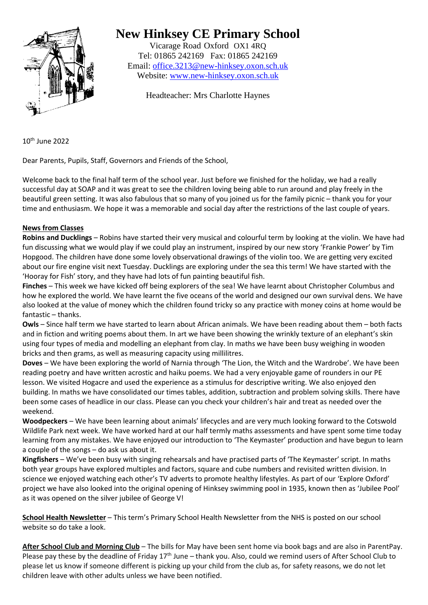

## **New Hinksey CE Primary School**

Vicarage Road Oxford OX1 4RQ Tel: 01865 242169 Fax: 01865 242169 Email: [office.3213@new-hinksey.oxon.sch.uk](mailto:office.3213@new-hinksey.oxon.sch.uk) Website: [www.new-hinksey.oxon.sch.uk](http://www.new-hinksey.oxon.sch.uk/)

Headteacher: Mrs Charlotte Haynes

10th June 2022

Dear Parents, Pupils, Staff, Governors and Friends of the School,

Welcome back to the final half term of the school year. Just before we finished for the holiday, we had a really successful day at SOAP and it was great to see the children loving being able to run around and play freely in the beautiful green setting. It was also fabulous that so many of you joined us for the family picnic – thank you for your time and enthusiasm. We hope it was a memorable and social day after the restrictions of the last couple of years.

## **News from Classes**

**Robins and Ducklings** – Robins have started their very musical and colourful term by looking at the violin. We have had fun discussing what we would play if we could play an instrument, inspired by our new story 'Frankie Power' by Tim Hopgood. The children have done some lovely observational drawings of the violin too. We are getting very excited about our fire engine visit next Tuesday. Ducklings are exploring under the sea this term! We have started with the 'Hooray for Fish' story, and they have had lots of fun painting beautiful fish.

**Finches** – This week we have kicked off being explorers of the sea! We have learnt about Christopher Columbus and how he explored the world. We have learnt the five oceans of the world and designed our own survival dens. We have also looked at the value of money which the children found tricky so any practice with money coins at home would be fantastic – thanks.

**Owls** – Since half term we have started to learn about African animals. We have been reading about them – both facts and in fiction and writing poems about them. In art we have been showing the wrinkly texture of an elephant's skin using four types of media and modelling an elephant from clay. In maths we have been busy weighing in wooden bricks and then grams, as well as measuring capacity using millilitres.

**Doves** – We have been exploring the world of Narnia through 'The Lion, the Witch and the Wardrobe'. We have been reading poetry and have written acrostic and haiku poems. We had a very enjoyable game of rounders in our PE lesson. We visited Hogacre and used the experience as a stimulus for descriptive writing. We also enjoyed den building. In maths we have consolidated our times tables, addition, subtraction and problem solving skills. There have been some cases of headlice in our class. Please can you check your children's hair and treat as needed over the weekend.

**Woodpeckers** – We have been learning about animals' lifecycles and are very much looking forward to the Cotswold Wildlife Park next week. We have worked hard at our half termly maths assessments and have spent some time today learning from any mistakes. We have enjoyed our introduction to 'The Keymaster' production and have begun to learn a couple of the songs – do ask us about it.

**Kingfishers** – We've been busy with singing rehearsals and have practised parts of 'The Keymaster' script. In maths both year groups have explored multiples and factors, square and cube numbers and revisited written division. In science we enjoyed watching each other's TV adverts to promote healthy lifestyles. As part of our 'Explore Oxford' project we have also looked into the original opening of Hinksey swimming pool in 1935, known then as 'Jubilee Pool' as it was opened on the silver jubilee of George V!

**School Health Newsletter** – This term's Primary School Health Newsletter from the NHS is posted on our school website so do take a look.

**After School Club and Morning Club** – The bills for May have been sent home via book bags and are also in ParentPay. Please pay these by the deadline of Friday  $17<sup>th</sup>$  June – thank you. Also, could we remind users of After School Club to please let us know if someone different is picking up your child from the club as, for safety reasons, we do not let children leave with other adults unless we have been notified.